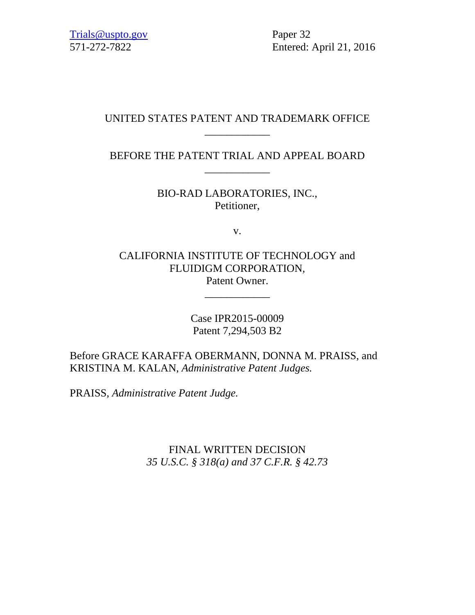571-272-7822 Entered: April 21, 2016

# UNITED STATES PATENT AND TRADEMARK OFFICE \_\_\_\_\_\_\_\_\_\_\_\_

BEFORE THE PATENT TRIAL AND APPEAL BOARD \_\_\_\_\_\_\_\_\_\_\_\_

> BIO-RAD LABORATORIES, INC., Petitioner,

> > v.

CALIFORNIA INSTITUTE OF TECHNOLOGY and FLUIDIGM CORPORATION, Patent Owner.

\_\_\_\_\_\_\_\_\_\_\_\_

Case IPR2015-00009 Patent 7,294,503 B2

Before GRACE KARAFFA OBERMANN, DONNA M. PRAISS, and KRISTINA M. KALAN, *Administrative Patent Judges.*

PRAISS, *Administrative Patent Judge.*

FINAL WRITTEN DECISION *35 U.S.C. § 318(a) and 37 C.F.R. § 42.73*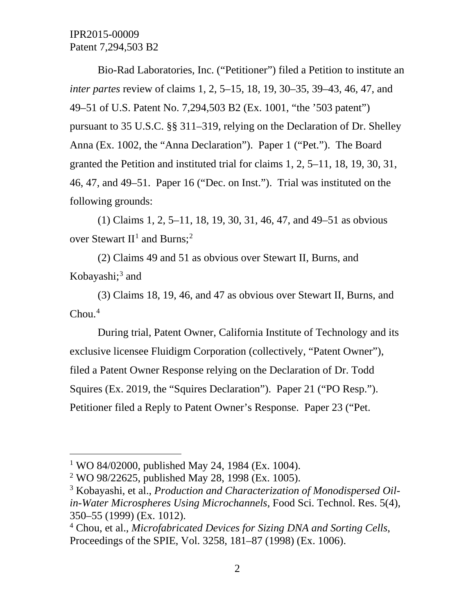Bio-Rad Laboratories, Inc. ("Petitioner") filed a Petition to institute an *inter partes* review of claims 1, 2, 5–15, 18, 19, 30–35, 39–43, 46, 47, and 49–51 of U.S. Patent No. 7,294,503 B2 (Ex. 1001, "the '503 patent") pursuant to 35 U.S.C. §§ 311–319, relying on the Declaration of Dr. Shelley Anna (Ex. 1002, the "Anna Declaration"). Paper 1 ("Pet."). The Board granted the Petition and instituted trial for claims 1, 2, 5–11, 18, 19, 30, 31, 46, 47, and 49–51. Paper 16 ("Dec. on Inst."). Trial was instituted on the following grounds:

(1) Claims 1, 2, 5–11, 18, 19, 30, 31, 46, 47, and 49–51 as obvious over Stewart  $II<sup>1</sup>$  $II<sup>1</sup>$  $II<sup>1</sup>$  and Burns;<sup>[2](#page-1-1)</sup>

(2) Claims 49 and 51 as obvious over Stewart II, Burns, and Kobayashi; $3$  and

(3) Claims 18, 19, 46, and 47 as obvious over Stewart II, Burns, and  $Chou.<sup>4</sup>$  $Chou.<sup>4</sup>$  $Chou.<sup>4</sup>$ 

During trial, Patent Owner, California Institute of Technology and its exclusive licensee Fluidigm Corporation (collectively, "Patent Owner"), filed a Patent Owner Response relying on the Declaration of Dr. Todd Squires (Ex. 2019, the "Squires Declaration"). Paper 21 ("PO Resp."). Petitioner filed a Reply to Patent Owner's Response. Paper 23 ("Pet.

<span id="page-1-0"></span><sup>&</sup>lt;sup>1</sup> WO 84/02000, published May 24, 1984 (Ex. 1004).

<span id="page-1-1"></span><sup>&</sup>lt;sup>2</sup> WO 98/22625, published May 28, 1998 (Ex. 1005).

<span id="page-1-2"></span><sup>3</sup> Kobayashi, et al., *Production and Characterization of Monodispersed Oilin-Water Microspheres Using Microchannels*, Food Sci. Technol. Res. 5(4), 350–55 (1999) (Ex. 1012).

<span id="page-1-3"></span><sup>4</sup> Chou, et al., *Microfabricated Devices for Sizing DNA and Sorting Cells*, Proceedings of the SPIE, Vol. 3258, 181–87 (1998) (Ex. 1006).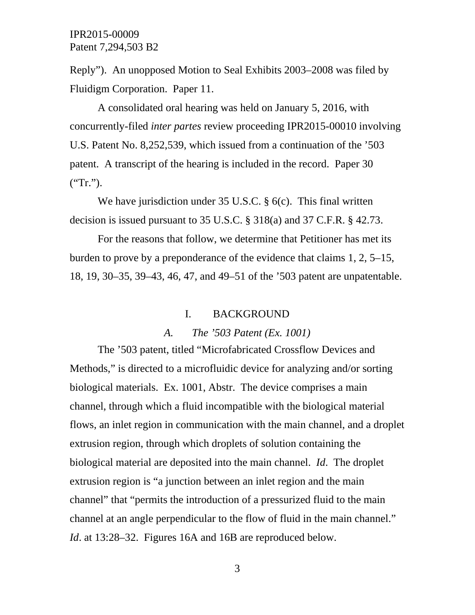Reply"). An unopposed Motion to Seal Exhibits 2003–2008 was filed by Fluidigm Corporation. Paper 11.

A consolidated oral hearing was held on January 5, 2016, with concurrently-filed *inter partes* review proceeding IPR2015-00010 involving U.S. Patent No. 8,252,539, which issued from a continuation of the '503 patent. A transcript of the hearing is included in the record. Paper 30 ("Tr.").

We have jurisdiction under 35 U.S.C. § 6(c). This final written decision is issued pursuant to 35 U.S.C. § 318(a) and 37 C.F.R. § 42.73.

For the reasons that follow, we determine that Petitioner has met its burden to prove by a preponderance of the evidence that claims 1, 2, 5–15, 18, 19, 30–35, 39–43, 46, 47, and 49–51 of the '503 patent are unpatentable.

### I. BACKGROUND

#### *A. The '503 Patent (Ex. 1001)*

The '503 patent, titled "Microfabricated Crossflow Devices and Methods," is directed to a microfluidic device for analyzing and/or sorting biological materials. Ex. 1001, Abstr. The device comprises a main channel, through which a fluid incompatible with the biological material flows, an inlet region in communication with the main channel, and a droplet extrusion region, through which droplets of solution containing the biological material are deposited into the main channel. *Id*. The droplet extrusion region is "a junction between an inlet region and the main channel" that "permits the introduction of a pressurized fluid to the main channel at an angle perpendicular to the flow of fluid in the main channel." *Id.* at 13:28–32. Figures 16A and 16B are reproduced below.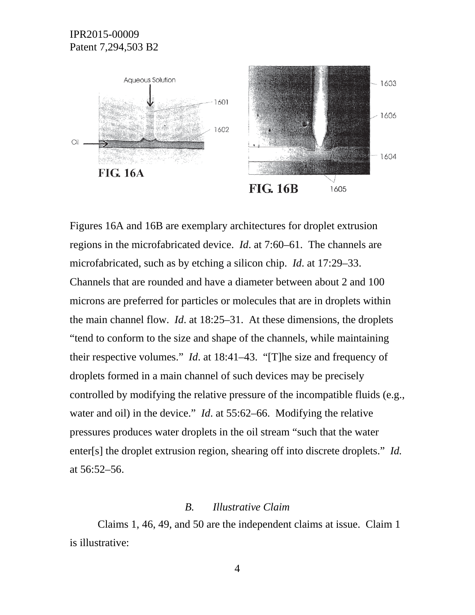

Figures 16A and 16B are exemplary architectures for droplet extrusion regions in the microfabricated device. *Id*. at 7:60–61. The channels are microfabricated, such as by etching a silicon chip. *Id*. at 17:29–33. Channels that are rounded and have a diameter between about 2 and 100 microns are preferred for particles or molecules that are in droplets within the main channel flow. *Id*. at 18:25–31. At these dimensions, the droplets "tend to conform to the size and shape of the channels, while maintaining their respective volumes." *Id*. at 18:41–43. "[T]he size and frequency of droplets formed in a main channel of such devices may be precisely controlled by modifying the relative pressure of the incompatible fluids (e.g., water and oil) in the device." *Id*. at 55:62–66. Modifying the relative pressures produces water droplets in the oil stream "such that the water enter[s] the droplet extrusion region, shearing off into discrete droplets." *Id.* at 56:52–56.

#### *B. Illustrative Claim*

Claims 1, 46, 49, and 50 are the independent claims at issue. Claim 1 is illustrative: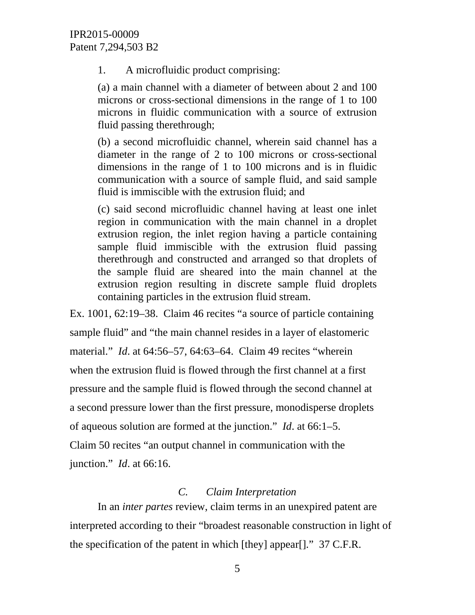1. A microfluidic product comprising:

(a) a main channel with a diameter of between about 2 and 100 microns or cross-sectional dimensions in the range of 1 to 100 microns in fluidic communication with a source of extrusion fluid passing therethrough;

(b) a second microfluidic channel, wherein said channel has a diameter in the range of 2 to 100 microns or cross-sectional dimensions in the range of 1 to 100 microns and is in fluidic communication with a source of sample fluid, and said sample fluid is immiscible with the extrusion fluid; and

(c) said second microfluidic channel having at least one inlet region in communication with the main channel in a droplet extrusion region, the inlet region having a particle containing sample fluid immiscible with the extrusion fluid passing therethrough and constructed and arranged so that droplets of the sample fluid are sheared into the main channel at the extrusion region resulting in discrete sample fluid droplets containing particles in the extrusion fluid stream.

Ex. 1001, 62:19–38. Claim 46 recites "a source of particle containing sample fluid" and "the main channel resides in a layer of elastomeric material." *Id*. at 64:56–57, 64:63–64. Claim 49 recites "wherein when the extrusion fluid is flowed through the first channel at a first pressure and the sample fluid is flowed through the second channel at a second pressure lower than the first pressure, monodisperse droplets of aqueous solution are formed at the junction." *Id*. at 66:1–5. Claim 50 recites "an output channel in communication with the junction." *Id*. at 66:16.

# *C. Claim Interpretation*

In an *inter partes* review, claim terms in an unexpired patent are interpreted according to their "broadest reasonable construction in light of the specification of the patent in which [they] appear[]." 37 C.F.R.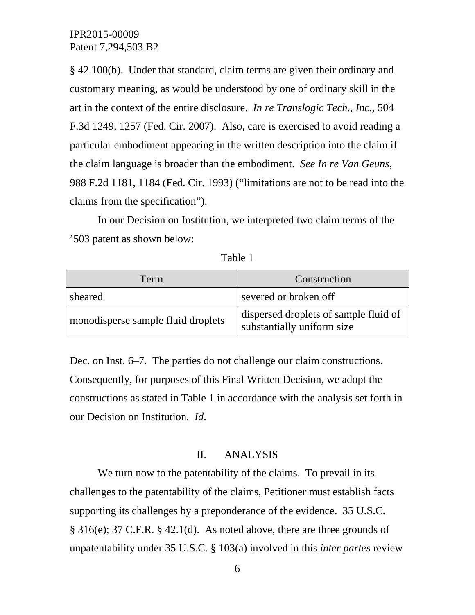§ 42.100(b). Under that standard, claim terms are given their ordinary and customary meaning, as would be understood by one of ordinary skill in the art in the context of the entire disclosure. *In re Translogic Tech., Inc.*, 504 F.3d 1249, 1257 (Fed. Cir. 2007). Also, care is exercised to avoid reading a particular embodiment appearing in the written description into the claim if the claim language is broader than the embodiment. *See In re Van Geuns*, 988 F.2d 1181, 1184 (Fed. Cir. 1993) ("limitations are not to be read into the claims from the specification").

In our Decision on Institution, we interpreted two claim terms of the '503 patent as shown below:

| Term                               | Construction                                                        |
|------------------------------------|---------------------------------------------------------------------|
| sheared                            | severed or broken off                                               |
| monodisperse sample fluid droplets | dispersed droplets of sample fluid of<br>substantially uniform size |

Table 1

Dec. on Inst. 6–7. The parties do not challenge our claim constructions. Consequently, for purposes of this Final Written Decision, we adopt the constructions as stated in Table 1 in accordance with the analysis set forth in our Decision on Institution. *Id*.

## II. ANALYSIS

We turn now to the patentability of the claims. To prevail in its challenges to the patentability of the claims, Petitioner must establish facts supporting its challenges by a preponderance of the evidence. 35 U.S.C. § 316(e); 37 C.F.R. § 42.1(d). As noted above, there are three grounds of unpatentability under 35 U.S.C. § 103(a) involved in this *inter partes* review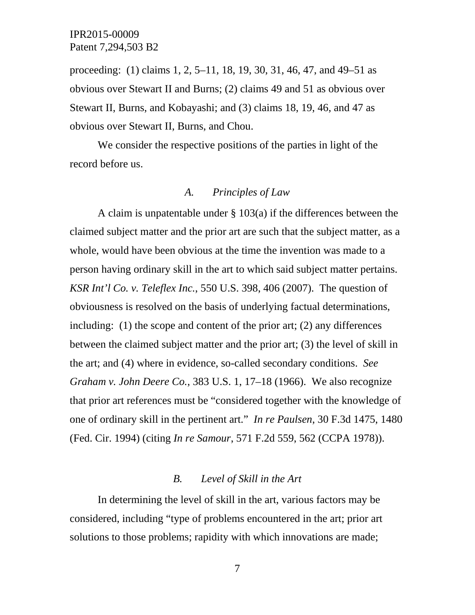proceeding: (1) claims 1, 2, 5–11, 18, 19, 30, 31, 46, 47, and 49–51 as obvious over Stewart II and Burns; (2) claims 49 and 51 as obvious over Stewart II, Burns, and Kobayashi; and (3) claims 18, 19, 46, and 47 as obvious over Stewart II, Burns, and Chou.

We consider the respective positions of the parties in light of the record before us.

#### *A. Principles of Law*

A claim is unpatentable under § 103(a) if the differences between the claimed subject matter and the prior art are such that the subject matter, as a whole, would have been obvious at the time the invention was made to a person having ordinary skill in the art to which said subject matter pertains. *KSR Int'l Co. v. Teleflex Inc.*, 550 U.S. 398, 406 (2007). The question of obviousness is resolved on the basis of underlying factual determinations, including: (1) the scope and content of the prior art; (2) any differences between the claimed subject matter and the prior art; (3) the level of skill in the art; and (4) where in evidence, so-called secondary conditions. *See Graham v. John Deere Co.*, 383 U.S. 1, 17–18 (1966). We also recognize that prior art references must be "considered together with the knowledge of one of ordinary skill in the pertinent art." *In re Paulsen*, 30 F.3d 1475, 1480 (Fed. Cir. 1994) (citing *In re Samour*, 571 F.2d 559, 562 (CCPA 1978)).

#### *B. Level of Skill in the Art*

In determining the level of skill in the art, various factors may be considered, including "type of problems encountered in the art; prior art solutions to those problems; rapidity with which innovations are made;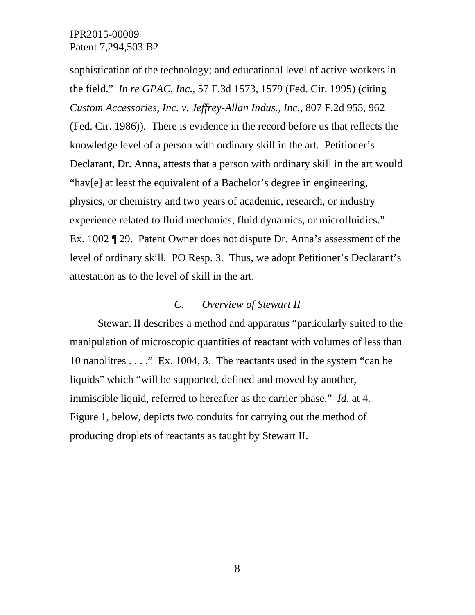sophistication of the technology; and educational level of active workers in the field." *In re GPAC, Inc*., 57 F.3d 1573, 1579 (Fed. Cir. 1995) (citing *Custom Accessories, Inc. v. Jeffrey-Allan Indus., Inc.*, 807 F.2d 955, 962 (Fed. Cir. 1986)). There is evidence in the record before us that reflects the knowledge level of a person with ordinary skill in the art. Petitioner's Declarant, Dr. Anna, attests that a person with ordinary skill in the art would "hav[e] at least the equivalent of a Bachelor's degree in engineering, physics, or chemistry and two years of academic, research, or industry experience related to fluid mechanics, fluid dynamics, or microfluidics." Ex. 1002 ¶ 29. Patent Owner does not dispute Dr. Anna's assessment of the level of ordinary skill. PO Resp. 3. Thus, we adopt Petitioner's Declarant's attestation as to the level of skill in the art.

# *C. Overview of Stewart II*

Stewart II describes a method and apparatus "particularly suited to the manipulation of microscopic quantities of reactant with volumes of less than 10 nanolitres . . . ." Ex. 1004, 3. The reactants used in the system "can be liquids" which "will be supported, defined and moved by another, immiscible liquid, referred to hereafter as the carrier phase." *Id*. at 4. Figure 1, below, depicts two conduits for carrying out the method of producing droplets of reactants as taught by Stewart II.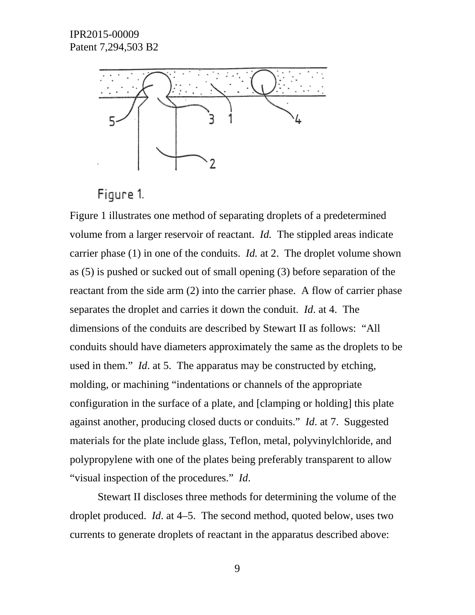

Figure 1.

Figure 1 illustrates one method of separating droplets of a predetermined volume from a larger reservoir of reactant. *Id.* The stippled areas indicate carrier phase (1) in one of the conduits. *Id.* at 2. The droplet volume shown as (5) is pushed or sucked out of small opening (3) before separation of the reactant from the side arm (2) into the carrier phase. A flow of carrier phase separates the droplet and carries it down the conduit. *Id*. at 4. The dimensions of the conduits are described by Stewart II as follows: "All conduits should have diameters approximately the same as the droplets to be used in them." *Id*. at 5. The apparatus may be constructed by etching, molding, or machining "indentations or channels of the appropriate configuration in the surface of a plate, and [clamping or holding] this plate against another, producing closed ducts or conduits." *Id*. at 7. Suggested materials for the plate include glass, Teflon, metal, polyvinylchloride, and polypropylene with one of the plates being preferably transparent to allow "visual inspection of the procedures." *Id*.

Stewart II discloses three methods for determining the volume of the droplet produced. *Id*. at 4–5. The second method, quoted below, uses two currents to generate droplets of reactant in the apparatus described above: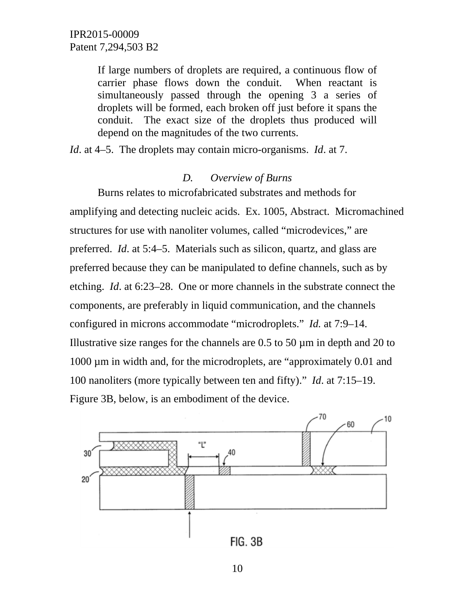If large numbers of droplets are required, a continuous flow of carrier phase flows down the conduit. When reactant is simultaneously passed through the opening 3 a series of droplets will be formed, each broken off just before it spans the conduit. The exact size of the droplets thus produced will depend on the magnitudes of the two currents.

*Id*. at 4–5. The droplets may contain micro-organisms. *Id*. at 7.

### *D. Overview of Burns*

Burns relates to microfabricated substrates and methods for amplifying and detecting nucleic acids. Ex. 1005, Abstract. Micromachined structures for use with nanoliter volumes, called "microdevices," are preferred. *Id*. at 5:4–5. Materials such as silicon, quartz, and glass are preferred because they can be manipulated to define channels, such as by etching. *Id*. at 6:23–28. One or more channels in the substrate connect the components, are preferably in liquid communication, and the channels configured in microns accommodate "microdroplets." *Id.* at 7:9–14. Illustrative size ranges for the channels are 0.5 to 50 µm in depth and 20 to 1000 µm in width and, for the microdroplets, are "approximately 0.01 and 100 nanoliters (more typically between ten and fifty)." *Id*. at 7:15–19. Figure 3B, below, is an embodiment of the device.

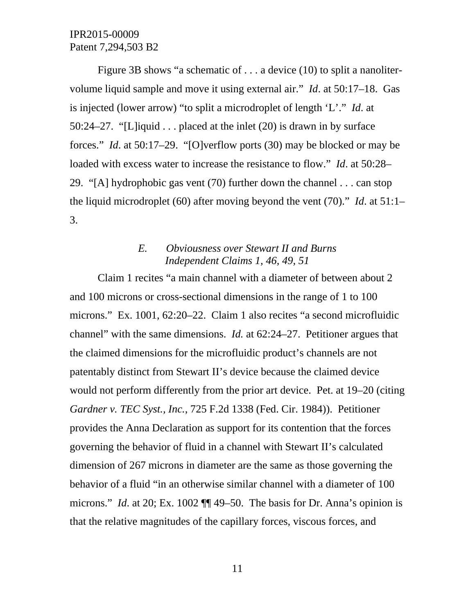Figure 3B shows "a schematic of . . . a device (10) to split a nanolitervolume liquid sample and move it using external air." *Id*. at 50:17–18. Gas is injected (lower arrow) "to split a microdroplet of length 'L'." *Id*. at 50:24–27. "[L]iquid . . . placed at the inlet (20) is drawn in by surface forces." *Id*. at 50:17–29. "[O]verflow ports (30) may be blocked or may be loaded with excess water to increase the resistance to flow." *Id*. at 50:28– 29. "[A] hydrophobic gas vent (70) further down the channel . . . can stop the liquid microdroplet (60) after moving beyond the vent (70)." *Id*. at 51:1– 3.

## *E. Obviousness over Stewart II and Burns Independent Claims 1, 46, 49, 51*

Claim 1 recites "a main channel with a diameter of between about 2 and 100 microns or cross-sectional dimensions in the range of 1 to 100 microns." Ex. 1001, 62:20–22. Claim 1 also recites "a second microfluidic channel" with the same dimensions. *Id.* at 62:24–27. Petitioner argues that the claimed dimensions for the microfluidic product's channels are not patentably distinct from Stewart II's device because the claimed device would not perform differently from the prior art device. Pet. at 19–20 (citing *Gardner v. TEC Syst., Inc.*, 725 F.2d 1338 (Fed. Cir. 1984)). Petitioner provides the Anna Declaration as support for its contention that the forces governing the behavior of fluid in a channel with Stewart II's calculated dimension of 267 microns in diameter are the same as those governing the behavior of a fluid "in an otherwise similar channel with a diameter of 100 microns." *Id*. at 20; Ex. 1002 ¶¶ 49–50. The basis for Dr. Anna's opinion is that the relative magnitudes of the capillary forces, viscous forces, and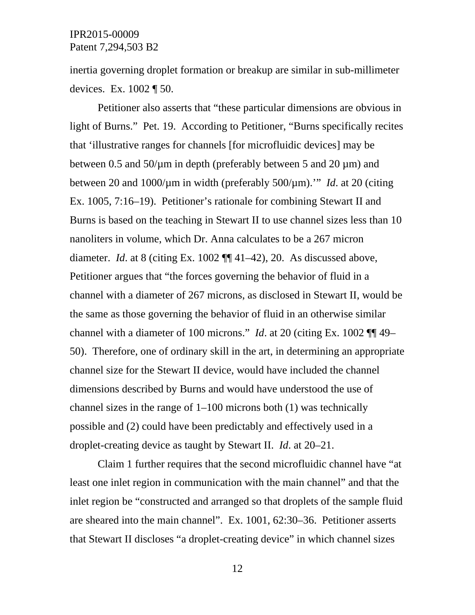inertia governing droplet formation or breakup are similar in sub-millimeter devices. Ex. 1002 ¶ 50.

Petitioner also asserts that "these particular dimensions are obvious in light of Burns." Pet. 19. According to Petitioner, "Burns specifically recites that 'illustrative ranges for channels [for microfluidic devices] may be between 0.5 and  $50/\mu m$  in depth (preferably between 5 and 20  $\mu$ m) and between 20 and 1000/µm in width (preferably 500/µm).'" *Id*. at 20 (citing Ex. 1005, 7:16–19). Petitioner's rationale for combining Stewart II and Burns is based on the teaching in Stewart II to use channel sizes less than 10 nanoliters in volume, which Dr. Anna calculates to be a 267 micron diameter. *Id*. at 8 (citing Ex. 1002 ¶¶ 41–42), 20. As discussed above, Petitioner argues that "the forces governing the behavior of fluid in a channel with a diameter of 267 microns, as disclosed in Stewart II, would be the same as those governing the behavior of fluid in an otherwise similar channel with a diameter of 100 microns." *Id*. at 20 (citing Ex. 1002 ¶¶ 49– 50). Therefore, one of ordinary skill in the art, in determining an appropriate channel size for the Stewart II device, would have included the channel dimensions described by Burns and would have understood the use of channel sizes in the range of 1–100 microns both (1) was technically possible and (2) could have been predictably and effectively used in a droplet-creating device as taught by Stewart II. *Id*. at 20–21.

Claim 1 further requires that the second microfluidic channel have "at least one inlet region in communication with the main channel" and that the inlet region be "constructed and arranged so that droplets of the sample fluid are sheared into the main channel". Ex. 1001, 62:30–36. Petitioner asserts that Stewart II discloses "a droplet-creating device" in which channel sizes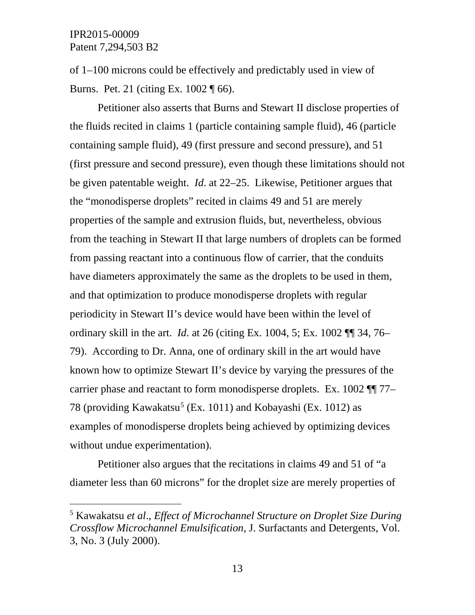of 1–100 microns could be effectively and predictably used in view of Burns. Pet. 21 (citing Ex. 1002 ¶ 66).

Petitioner also asserts that Burns and Stewart II disclose properties of the fluids recited in claims 1 (particle containing sample fluid), 46 (particle containing sample fluid), 49 (first pressure and second pressure), and 51 (first pressure and second pressure), even though these limitations should not be given patentable weight. *Id*. at 22–25. Likewise, Petitioner argues that the "monodisperse droplets" recited in claims 49 and 51 are merely properties of the sample and extrusion fluids, but, nevertheless, obvious from the teaching in Stewart II that large numbers of droplets can be formed from passing reactant into a continuous flow of carrier, that the conduits have diameters approximately the same as the droplets to be used in them, and that optimization to produce monodisperse droplets with regular periodicity in Stewart II's device would have been within the level of ordinary skill in the art. *Id*. at 26 (citing Ex. 1004, 5; Ex. 1002 ¶¶ 34, 76– 79). According to Dr. Anna, one of ordinary skill in the art would have known how to optimize Stewart II's device by varying the pressures of the carrier phase and reactant to form monodisperse droplets. Ex. 1002 ¶¶ 77– 78 (providing Kawakatsu<sup>[5](#page-12-0)</sup> (Ex. 1011) and Kobayashi (Ex. 1012) as examples of monodisperse droplets being achieved by optimizing devices without undue experimentation).

Petitioner also argues that the recitations in claims 49 and 51 of "a diameter less than 60 microns" for the droplet size are merely properties of

<span id="page-12-0"></span> <sup>5</sup> Kawakatsu *et al*., *Effect of Microchannel Structure on Droplet Size During Crossflow Microchannel Emulsification*, J. Surfactants and Detergents, Vol. 3, No. 3 (July 2000).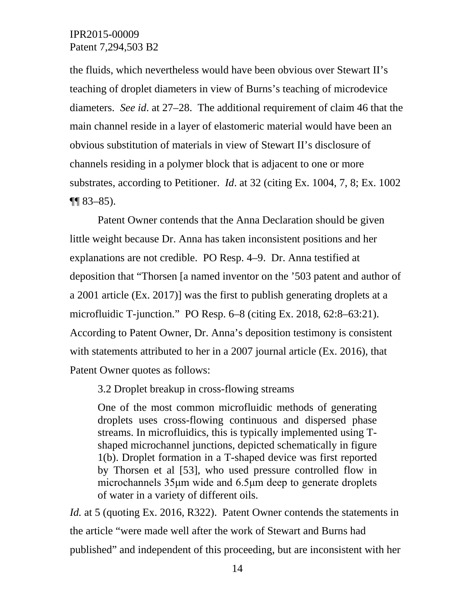the fluids, which nevertheless would have been obvious over Stewart II's teaching of droplet diameters in view of Burns's teaching of microdevice diameters. *See id*. at 27–28. The additional requirement of claim 46 that the main channel reside in a layer of elastomeric material would have been an obvious substitution of materials in view of Stewart II's disclosure of channels residing in a polymer block that is adjacent to one or more substrates, according to Petitioner. *Id*. at 32 (citing Ex. 1004, 7, 8; Ex. 1002  $\P\P$  83–85).

Patent Owner contends that the Anna Declaration should be given little weight because Dr. Anna has taken inconsistent positions and her explanations are not credible. PO Resp. 4–9. Dr. Anna testified at deposition that "Thorsen [a named inventor on the '503 patent and author of a 2001 article (Ex. 2017)] was the first to publish generating droplets at a microfluidic T-junction." PO Resp. 6–8 (citing Ex. 2018, 62:8–63:21). According to Patent Owner, Dr. Anna's deposition testimony is consistent with statements attributed to her in a 2007 journal article (Ex. 2016), that Patent Owner quotes as follows:

3.2 Droplet breakup in cross-flowing streams

One of the most common microfluidic methods of generating droplets uses cross-flowing continuous and dispersed phase streams. In microfluidics, this is typically implemented using Tshaped microchannel junctions, depicted schematically in figure 1(b). Droplet formation in a T-shaped device was first reported by Thorsen et al [53], who used pressure controlled flow in microchannels 35μm wide and 6.5μm deep to generate droplets of water in a variety of different oils.

*Id.* at 5 (quoting Ex. 2016, R322). Patent Owner contends the statements in the article "were made well after the work of Stewart and Burns had published" and independent of this proceeding, but are inconsistent with her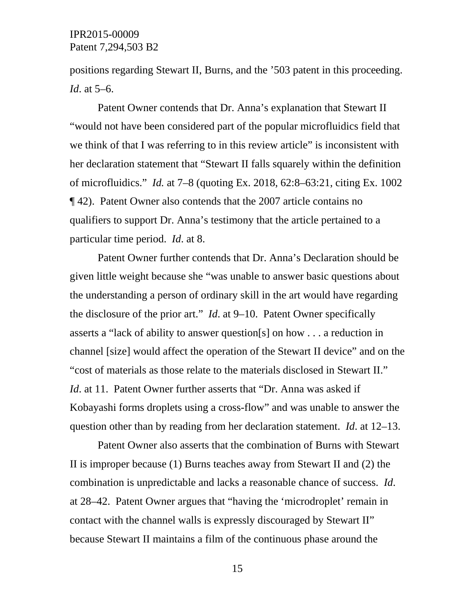positions regarding Stewart II, Burns, and the '503 patent in this proceeding. *Id*. at 5–6.

Patent Owner contends that Dr. Anna's explanation that Stewart II "would not have been considered part of the popular microfluidics field that we think of that I was referring to in this review article" is inconsistent with her declaration statement that "Stewart II falls squarely within the definition of microfluidics." *Id.* at 7–8 (quoting Ex. 2018, 62:8–63:21, citing Ex. 1002 ¶ 42). Patent Owner also contends that the 2007 article contains no qualifiers to support Dr. Anna's testimony that the article pertained to a particular time period. *Id*. at 8.

Patent Owner further contends that Dr. Anna's Declaration should be given little weight because she "was unable to answer basic questions about the understanding a person of ordinary skill in the art would have regarding the disclosure of the prior art." *Id*. at 9–10. Patent Owner specifically asserts a "lack of ability to answer question[s] on how . . . a reduction in channel [size] would affect the operation of the Stewart II device" and on the "cost of materials as those relate to the materials disclosed in Stewart II." *Id.* at 11. Patent Owner further asserts that "Dr. Anna was asked if Kobayashi forms droplets using a cross-flow" and was unable to answer the question other than by reading from her declaration statement. *Id*. at 12–13.

Patent Owner also asserts that the combination of Burns with Stewart II is improper because (1) Burns teaches away from Stewart II and (2) the combination is unpredictable and lacks a reasonable chance of success. *Id*. at 28–42. Patent Owner argues that "having the 'microdroplet' remain in contact with the channel walls is expressly discouraged by Stewart II" because Stewart II maintains a film of the continuous phase around the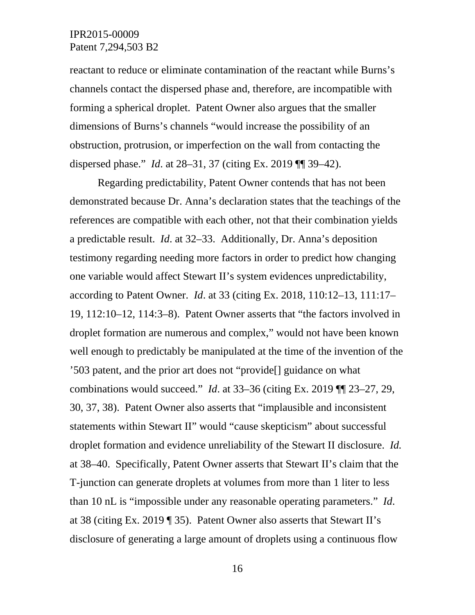reactant to reduce or eliminate contamination of the reactant while Burns's channels contact the dispersed phase and, therefore, are incompatible with forming a spherical droplet. Patent Owner also argues that the smaller dimensions of Burns's channels "would increase the possibility of an obstruction, protrusion, or imperfection on the wall from contacting the dispersed phase." *Id*. at 28–31, 37 (citing Ex. 2019 ¶¶ 39–42).

Regarding predictability, Patent Owner contends that has not been demonstrated because Dr. Anna's declaration states that the teachings of the references are compatible with each other, not that their combination yields a predictable result. *Id*. at 32–33. Additionally, Dr. Anna's deposition testimony regarding needing more factors in order to predict how changing one variable would affect Stewart II's system evidences unpredictability, according to Patent Owner. *Id*. at 33 (citing Ex. 2018, 110:12–13, 111:17– 19, 112:10–12, 114:3–8). Patent Owner asserts that "the factors involved in droplet formation are numerous and complex," would not have been known well enough to predictably be manipulated at the time of the invention of the '503 patent, and the prior art does not "provide[] guidance on what combinations would succeed." *Id*. at 33–36 (citing Ex. 2019 ¶¶ 23–27, 29, 30, 37, 38). Patent Owner also asserts that "implausible and inconsistent statements within Stewart II" would "cause skepticism" about successful droplet formation and evidence unreliability of the Stewart II disclosure. *Id.* at 38–40. Specifically, Patent Owner asserts that Stewart II's claim that the T-junction can generate droplets at volumes from more than 1 liter to less than 10 nL is "impossible under any reasonable operating parameters." *Id*. at 38 (citing Ex. 2019 ¶ 35). Patent Owner also asserts that Stewart II's disclosure of generating a large amount of droplets using a continuous flow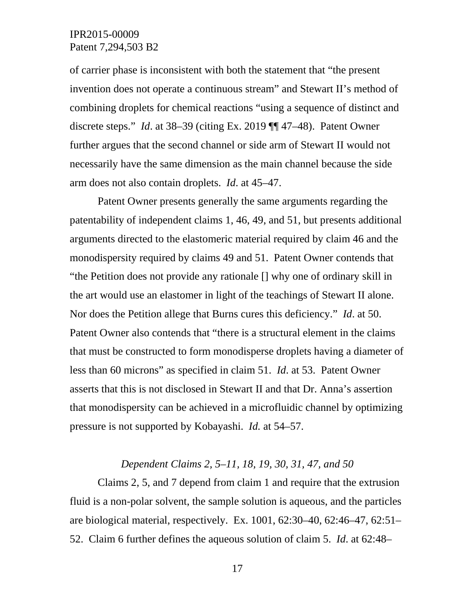of carrier phase is inconsistent with both the statement that "the present invention does not operate a continuous stream" and Stewart II's method of combining droplets for chemical reactions "using a sequence of distinct and discrete steps." *Id*. at 38–39 (citing Ex. 2019 ¶¶ 47–48). Patent Owner further argues that the second channel or side arm of Stewart II would not necessarily have the same dimension as the main channel because the side arm does not also contain droplets. *Id*. at 45–47.

Patent Owner presents generally the same arguments regarding the patentability of independent claims 1, 46, 49, and 51, but presents additional arguments directed to the elastomeric material required by claim 46 and the monodispersity required by claims 49 and 51. Patent Owner contends that "the Petition does not provide any rationale [] why one of ordinary skill in the art would use an elastomer in light of the teachings of Stewart II alone. Nor does the Petition allege that Burns cures this deficiency." *Id*. at 50. Patent Owner also contends that "there is a structural element in the claims that must be constructed to form monodisperse droplets having a diameter of less than 60 microns" as specified in claim 51. *Id*. at 53. Patent Owner asserts that this is not disclosed in Stewart II and that Dr. Anna's assertion that monodispersity can be achieved in a microfluidic channel by optimizing pressure is not supported by Kobayashi. *Id.* at 54–57.

#### *Dependent Claims 2, 5–11, 18, 19, 30, 31, 47, and 50*

Claims 2, 5, and 7 depend from claim 1 and require that the extrusion fluid is a non-polar solvent, the sample solution is aqueous, and the particles are biological material, respectively. Ex. 1001, 62:30–40, 62:46–47, 62:51– 52. Claim 6 further defines the aqueous solution of claim 5. *Id*. at 62:48–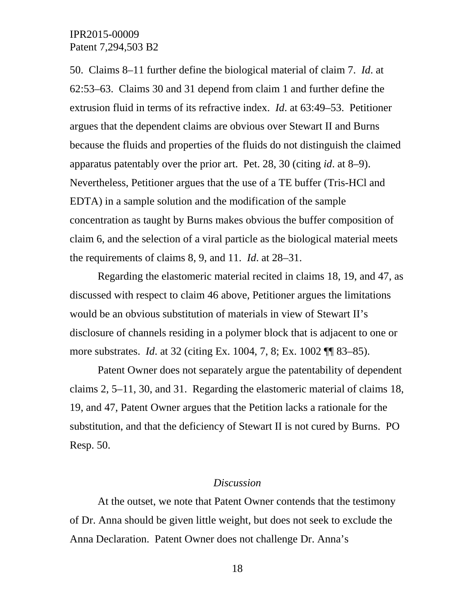50. Claims 8–11 further define the biological material of claim 7. *Id*. at 62:53–63. Claims 30 and 31 depend from claim 1 and further define the extrusion fluid in terms of its refractive index. *Id*. at 63:49–53. Petitioner argues that the dependent claims are obvious over Stewart II and Burns because the fluids and properties of the fluids do not distinguish the claimed apparatus patentably over the prior art. Pet. 28, 30 (citing *id*. at 8–9). Nevertheless, Petitioner argues that the use of a TE buffer (Tris-HCl and EDTA) in a sample solution and the modification of the sample concentration as taught by Burns makes obvious the buffer composition of claim 6, and the selection of a viral particle as the biological material meets the requirements of claims 8, 9, and 11. *Id*. at 28–31.

Regarding the elastomeric material recited in claims 18, 19, and 47, as discussed with respect to claim 46 above, Petitioner argues the limitations would be an obvious substitution of materials in view of Stewart II's disclosure of channels residing in a polymer block that is adjacent to one or more substrates. *Id*. at 32 (citing Ex. 1004, 7, 8; Ex. 1002 ¶¶ 83–85).

Patent Owner does not separately argue the patentability of dependent claims 2, 5–11, 30, and 31. Regarding the elastomeric material of claims 18, 19, and 47, Patent Owner argues that the Petition lacks a rationale for the substitution, and that the deficiency of Stewart II is not cured by Burns. PO Resp. 50.

### *Discussion*

At the outset, we note that Patent Owner contends that the testimony of Dr. Anna should be given little weight, but does not seek to exclude the Anna Declaration. Patent Owner does not challenge Dr. Anna's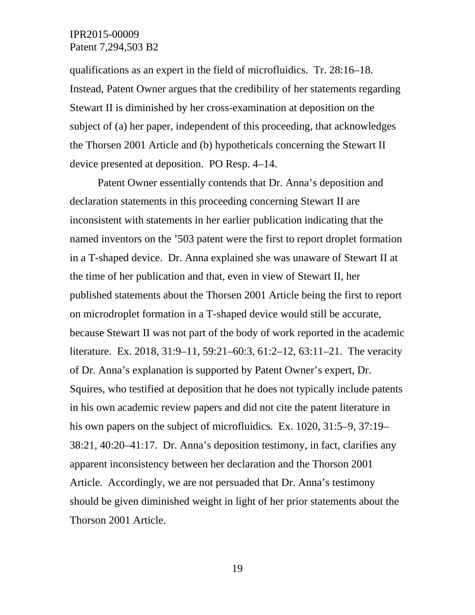qualifications as an expert in the field of microfluidics. Tr. 28:16–18. Instead, Patent Owner argues that the credibility of her statements regarding Stewart II is diminished by her cross-examination at deposition on the subject of (a) her paper, independent of this proceeding, that acknowledges the Thorsen 2001 Article and (b) hypotheticals concerning the Stewart II device presented at deposition. PO Resp. 4–14.

Patent Owner essentially contends that Dr. Anna's deposition and declaration statements in this proceeding concerning Stewart II are inconsistent with statements in her earlier publication indicating that the named inventors on the '503 patent were the first to report droplet formation in a T-shaped device. Dr. Anna explained she was unaware of Stewart II at the time of her publication and that, even in view of Stewart II, her published statements about the Thorsen 2001 Article being the first to report on microdroplet formation in a T-shaped device would still be accurate, because Stewart II was not part of the body of work reported in the academic literature. Ex. 2018, 31:9–11, 59:21–60:3, 61:2–12, 63:11–21. The veracity of Dr. Anna's explanation is supported by Patent Owner's expert, Dr. Squires, who testified at deposition that he does not typically include patents in his own academic review papers and did not cite the patent literature in his own papers on the subject of microfluidics. Ex. 1020, 31:5–9, 37:19– 38:21, 40:20–41:17. Dr. Anna's deposition testimony, in fact, clarifies any apparent inconsistency between her declaration and the Thorson 2001 Article. Accordingly, we are not persuaded that Dr. Anna's testimony should be given diminished weight in light of her prior statements about the Thorson 2001 Article.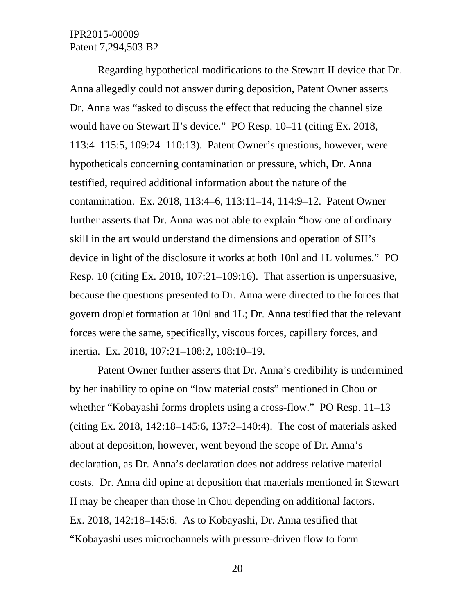Regarding hypothetical modifications to the Stewart II device that Dr. Anna allegedly could not answer during deposition, Patent Owner asserts Dr. Anna was "asked to discuss the effect that reducing the channel size would have on Stewart II's device." PO Resp. 10–11 (citing Ex. 2018, 113:4–115:5, 109:24–110:13). Patent Owner's questions, however, were hypotheticals concerning contamination or pressure, which, Dr. Anna testified, required additional information about the nature of the contamination. Ex. 2018, 113:4–6, 113:11–14, 114:9–12. Patent Owner further asserts that Dr. Anna was not able to explain "how one of ordinary skill in the art would understand the dimensions and operation of SII's device in light of the disclosure it works at both 10nl and 1L volumes." PO Resp. 10 (citing Ex. 2018, 107:21–109:16). That assertion is unpersuasive, because the questions presented to Dr. Anna were directed to the forces that govern droplet formation at 10nl and 1L; Dr. Anna testified that the relevant forces were the same, specifically, viscous forces, capillary forces, and inertia. Ex. 2018, 107:21–108:2, 108:10–19.

Patent Owner further asserts that Dr. Anna's credibility is undermined by her inability to opine on "low material costs" mentioned in Chou or whether "Kobayashi forms droplets using a cross-flow." PO Resp. 11–13 (citing Ex. 2018, 142:18–145:6, 137:2–140:4). The cost of materials asked about at deposition, however, went beyond the scope of Dr. Anna's declaration, as Dr. Anna's declaration does not address relative material costs. Dr. Anna did opine at deposition that materials mentioned in Stewart II may be cheaper than those in Chou depending on additional factors. Ex. 2018, 142:18–145:6. As to Kobayashi, Dr. Anna testified that "Kobayashi uses microchannels with pressure-driven flow to form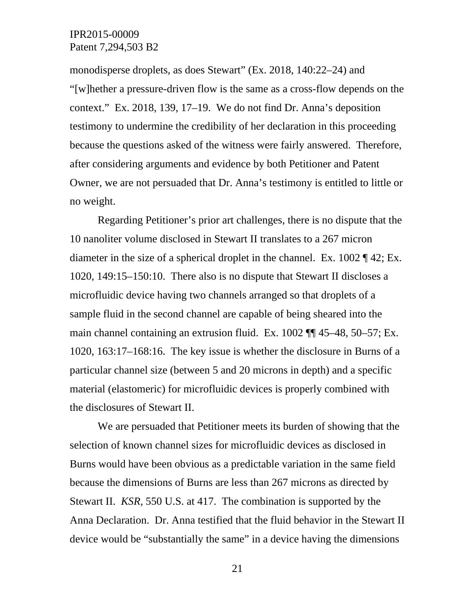monodisperse droplets, as does Stewart" (Ex. 2018, 140:22–24) and "[w]hether a pressure-driven flow is the same as a cross-flow depends on the context." Ex. 2018, 139, 17–19. We do not find Dr. Anna's deposition testimony to undermine the credibility of her declaration in this proceeding because the questions asked of the witness were fairly answered. Therefore, after considering arguments and evidence by both Petitioner and Patent Owner, we are not persuaded that Dr. Anna's testimony is entitled to little or no weight.

Regarding Petitioner's prior art challenges, there is no dispute that the 10 nanoliter volume disclosed in Stewart II translates to a 267 micron diameter in the size of a spherical droplet in the channel. Ex. 1002 ¶ 42; Ex. 1020, 149:15–150:10. There also is no dispute that Stewart II discloses a microfluidic device having two channels arranged so that droplets of a sample fluid in the second channel are capable of being sheared into the main channel containing an extrusion fluid. Ex. 1002 ¶¶ 45–48, 50–57; Ex. 1020, 163:17–168:16. The key issue is whether the disclosure in Burns of a particular channel size (between 5 and 20 microns in depth) and a specific material (elastomeric) for microfluidic devices is properly combined with the disclosures of Stewart II.

We are persuaded that Petitioner meets its burden of showing that the selection of known channel sizes for microfluidic devices as disclosed in Burns would have been obvious as a predictable variation in the same field because the dimensions of Burns are less than 267 microns as directed by Stewart II. *KSR,* 550 U.S. at 417.The combination is supported by the Anna Declaration. Dr. Anna testified that the fluid behavior in the Stewart II device would be "substantially the same" in a device having the dimensions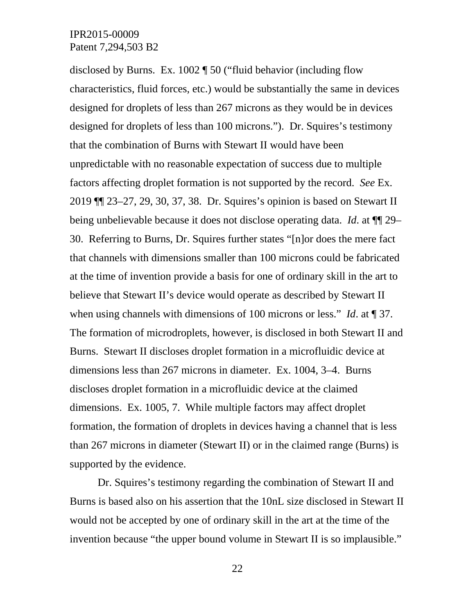disclosed by Burns. Ex. 1002 ¶ 50 ("fluid behavior (including flow characteristics, fluid forces, etc.) would be substantially the same in devices designed for droplets of less than 267 microns as they would be in devices designed for droplets of less than 100 microns."). Dr. Squires's testimony that the combination of Burns with Stewart II would have been unpredictable with no reasonable expectation of success due to multiple factors affecting droplet formation is not supported by the record. *See* Ex. 2019 ¶¶ 23–27, 29, 30, 37, 38. Dr. Squires's opinion is based on Stewart II being unbelievable because it does not disclose operating data. *Id*. at ¶¶ 29– 30. Referring to Burns, Dr. Squires further states "[n]or does the mere fact that channels with dimensions smaller than 100 microns could be fabricated at the time of invention provide a basis for one of ordinary skill in the art to believe that Stewart II's device would operate as described by Stewart II when using channels with dimensions of 100 microns or less." *Id*. at ¶ 37. The formation of microdroplets, however, is disclosed in both Stewart II and Burns. Stewart II discloses droplet formation in a microfluidic device at dimensions less than 267 microns in diameter. Ex. 1004, 3–4. Burns discloses droplet formation in a microfluidic device at the claimed dimensions. Ex. 1005, 7. While multiple factors may affect droplet formation, the formation of droplets in devices having a channel that is less than 267 microns in diameter (Stewart II) or in the claimed range (Burns) is supported by the evidence.

Dr. Squires's testimony regarding the combination of Stewart II and Burns is based also on his assertion that the 10nL size disclosed in Stewart II would not be accepted by one of ordinary skill in the art at the time of the invention because "the upper bound volume in Stewart II is so implausible."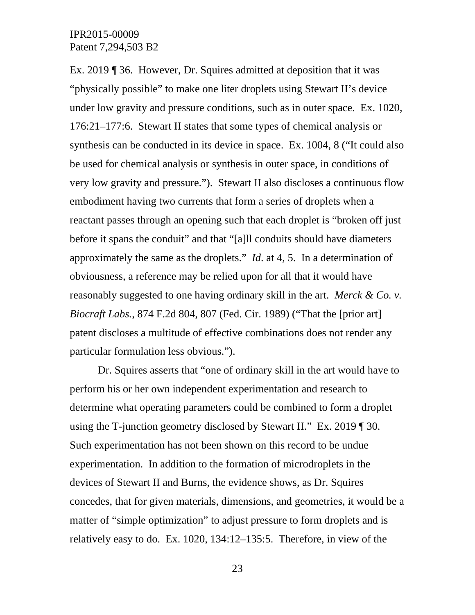Ex. 2019 ¶ 36. However, Dr. Squires admitted at deposition that it was "physically possible" to make one liter droplets using Stewart II's device under low gravity and pressure conditions, such as in outer space. Ex. 1020, 176:21–177:6. Stewart II states that some types of chemical analysis or synthesis can be conducted in its device in space. Ex. 1004, 8 ("It could also be used for chemical analysis or synthesis in outer space, in conditions of very low gravity and pressure."). Stewart II also discloses a continuous flow embodiment having two currents that form a series of droplets when a reactant passes through an opening such that each droplet is "broken off just before it spans the conduit" and that "[a]ll conduits should have diameters approximately the same as the droplets." *Id*. at 4, 5. In a determination of obviousness, a reference may be relied upon for all that it would have reasonably suggested to one having ordinary skill in the art. *Merck & Co. v. Biocraft Labs.*, 874 F.2d 804, 807 (Fed. Cir. 1989) ("That the [prior art] patent discloses a multitude of effective combinations does not render any particular formulation less obvious.").

Dr. Squires asserts that "one of ordinary skill in the art would have to perform his or her own independent experimentation and research to determine what operating parameters could be combined to form a droplet using the T-junction geometry disclosed by Stewart II." Ex. 2019 ¶ 30. Such experimentation has not been shown on this record to be undue experimentation. In addition to the formation of microdroplets in the devices of Stewart II and Burns, the evidence shows, as Dr. Squires concedes, that for given materials, dimensions, and geometries, it would be a matter of "simple optimization" to adjust pressure to form droplets and is relatively easy to do. Ex. 1020, 134:12–135:5. Therefore, in view of the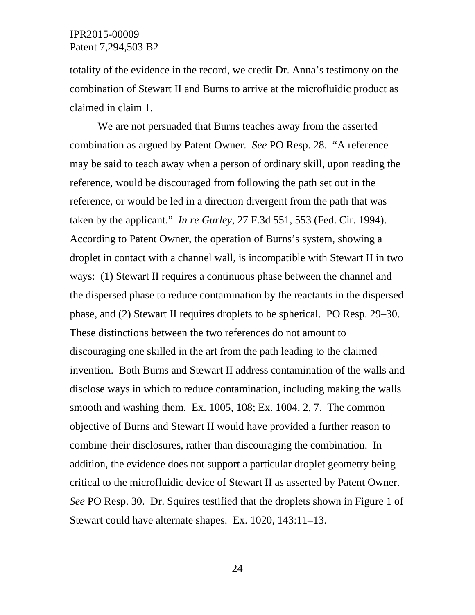totality of the evidence in the record, we credit Dr. Anna's testimony on the combination of Stewart II and Burns to arrive at the microfluidic product as claimed in claim 1.

We are not persuaded that Burns teaches away from the asserted combination as argued by Patent Owner. *See* PO Resp. 28. "A reference may be said to teach away when a person of ordinary skill, upon reading the reference, would be discouraged from following the path set out in the reference, or would be led in a direction divergent from the path that was taken by the applicant." *In re Gurley*, 27 F.3d 551, 553 (Fed. Cir. 1994). According to Patent Owner, the operation of Burns's system, showing a droplet in contact with a channel wall, is incompatible with Stewart II in two ways: (1) Stewart II requires a continuous phase between the channel and the dispersed phase to reduce contamination by the reactants in the dispersed phase, and (2) Stewart II requires droplets to be spherical. PO Resp. 29–30. These distinctions between the two references do not amount to discouraging one skilled in the art from the path leading to the claimed invention. Both Burns and Stewart II address contamination of the walls and disclose ways in which to reduce contamination, including making the walls smooth and washing them. Ex. 1005, 108; Ex. 1004, 2, 7. The common objective of Burns and Stewart II would have provided a further reason to combine their disclosures, rather than discouraging the combination. In addition, the evidence does not support a particular droplet geometry being critical to the microfluidic device of Stewart II as asserted by Patent Owner. *See* PO Resp. 30. Dr. Squires testified that the droplets shown in Figure 1 of Stewart could have alternate shapes. Ex. 1020, 143:11–13.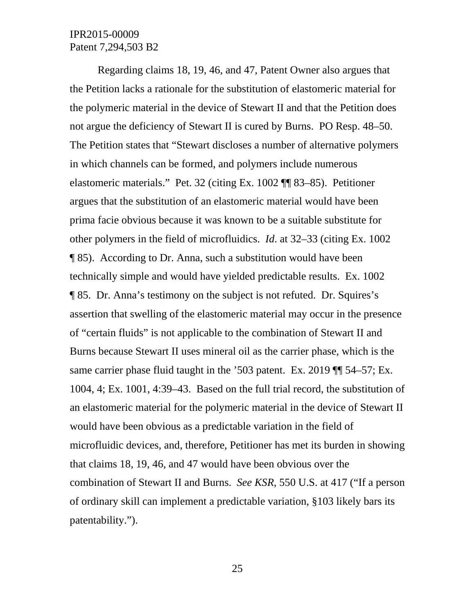Regarding claims 18, 19, 46, and 47, Patent Owner also argues that the Petition lacks a rationale for the substitution of elastomeric material for the polymeric material in the device of Stewart II and that the Petition does not argue the deficiency of Stewart II is cured by Burns. PO Resp. 48–50. The Petition states that "Stewart discloses a number of alternative polymers in which channels can be formed, and polymers include numerous elastomeric materials." Pet. 32 (citing Ex. 1002 ¶¶ 83–85). Petitioner argues that the substitution of an elastomeric material would have been prima facie obvious because it was known to be a suitable substitute for other polymers in the field of microfluidics. *Id*. at 32–33 (citing Ex. 1002 ¶ 85). According to Dr. Anna, such a substitution would have been technically simple and would have yielded predictable results. Ex. 1002 ¶ 85. Dr. Anna's testimony on the subject is not refuted. Dr. Squires's assertion that swelling of the elastomeric material may occur in the presence of "certain fluids" is not applicable to the combination of Stewart II and Burns because Stewart II uses mineral oil as the carrier phase, which is the same carrier phase fluid taught in the '503 patent. Ex. 2019 II 54–57; Ex. 1004, 4; Ex. 1001, 4:39–43. Based on the full trial record, the substitution of an elastomeric material for the polymeric material in the device of Stewart II would have been obvious as a predictable variation in the field of microfluidic devices, and, therefore, Petitioner has met its burden in showing that claims 18, 19, 46, and 47 would have been obvious over the combination of Stewart II and Burns. *See KSR*, 550 U.S. at 417 ("If a person of ordinary skill can implement a predictable variation, §103 likely bars its patentability.").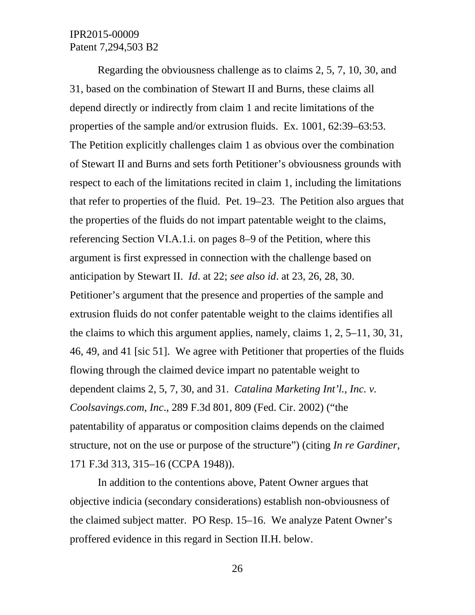Regarding the obviousness challenge as to claims 2, 5, 7, 10, 30, and 31, based on the combination of Stewart II and Burns, these claims all depend directly or indirectly from claim 1 and recite limitations of the properties of the sample and/or extrusion fluids. Ex. 1001, 62:39–63:53. The Petition explicitly challenges claim 1 as obvious over the combination of Stewart II and Burns and sets forth Petitioner's obviousness grounds with respect to each of the limitations recited in claim 1, including the limitations that refer to properties of the fluid. Pet. 19–23. The Petition also argues that the properties of the fluids do not impart patentable weight to the claims, referencing Section VI.A.1.i. on pages 8–9 of the Petition, where this argument is first expressed in connection with the challenge based on anticipation by Stewart II. *Id*. at 22; *see also id*. at 23, 26, 28, 30. Petitioner's argument that the presence and properties of the sample and extrusion fluids do not confer patentable weight to the claims identifies all the claims to which this argument applies, namely, claims 1, 2, 5–11, 30, 31, 46, 49, and 41 [sic 51]. We agree with Petitioner that properties of the fluids flowing through the claimed device impart no patentable weight to dependent claims 2, 5, 7, 30, and 31. *Catalina Marketing Int'l., Inc. v. Coolsavings.com, Inc*., 289 F.3d 801, 809 (Fed. Cir. 2002) ("the patentability of apparatus or composition claims depends on the claimed structure, not on the use or purpose of the structure") (citing *In re Gardiner*, 171 F.3d 313, 315–16 (CCPA 1948)).

In addition to the contentions above, Patent Owner argues that objective indicia (secondary considerations) establish non-obviousness of the claimed subject matter. PO Resp. 15–16. We analyze Patent Owner's proffered evidence in this regard in Section II.H. below.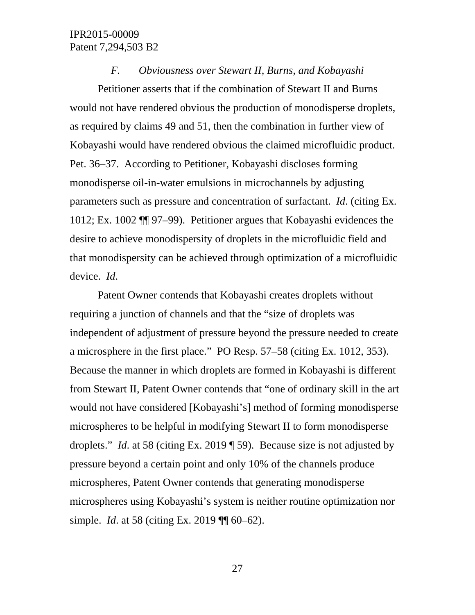#### *F. Obviousness over Stewart II, Burns, and Kobayashi*

Petitioner asserts that if the combination of Stewart II and Burns would not have rendered obvious the production of monodisperse droplets, as required by claims 49 and 51, then the combination in further view of Kobayashi would have rendered obvious the claimed microfluidic product. Pet. 36–37. According to Petitioner, Kobayashi discloses forming monodisperse oil-in-water emulsions in microchannels by adjusting parameters such as pressure and concentration of surfactant. *Id*. (citing Ex. 1012; Ex. 1002 ¶¶ 97–99). Petitioner argues that Kobayashi evidences the desire to achieve monodispersity of droplets in the microfluidic field and that monodispersity can be achieved through optimization of a microfluidic device. *Id*.

Patent Owner contends that Kobayashi creates droplets without requiring a junction of channels and that the "size of droplets was independent of adjustment of pressure beyond the pressure needed to create a microsphere in the first place." PO Resp. 57–58 (citing Ex. 1012, 353). Because the manner in which droplets are formed in Kobayashi is different from Stewart II, Patent Owner contends that "one of ordinary skill in the art would not have considered [Kobayashi's] method of forming monodisperse microspheres to be helpful in modifying Stewart II to form monodisperse droplets." *Id*. at 58 (citing Ex. 2019 ¶ 59). Because size is not adjusted by pressure beyond a certain point and only 10% of the channels produce microspheres, Patent Owner contends that generating monodisperse microspheres using Kobayashi's system is neither routine optimization nor simple. *Id*. at 58 (citing Ex. 2019 ¶¶ 60–62).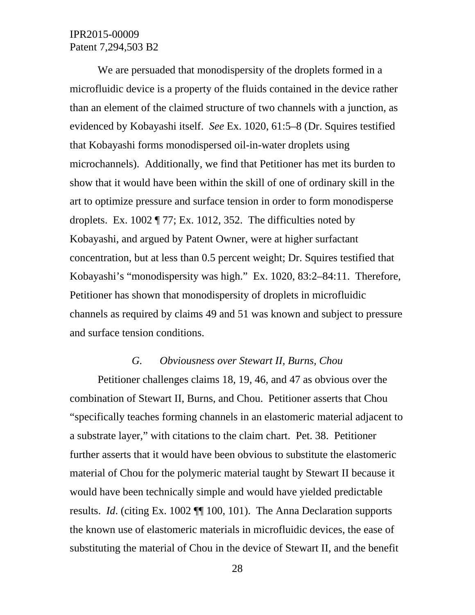We are persuaded that monodispersity of the droplets formed in a microfluidic device is a property of the fluids contained in the device rather than an element of the claimed structure of two channels with a junction, as evidenced by Kobayashi itself. *See* Ex. 1020, 61:5–8 (Dr. Squires testified that Kobayashi forms monodispersed oil-in-water droplets using microchannels). Additionally, we find that Petitioner has met its burden to show that it would have been within the skill of one of ordinary skill in the art to optimize pressure and surface tension in order to form monodisperse droplets. Ex. 1002 ¶ 77; Ex. 1012, 352. The difficulties noted by Kobayashi, and argued by Patent Owner, were at higher surfactant concentration, but at less than 0.5 percent weight; Dr. Squires testified that Kobayashi's "monodispersity was high." Ex. 1020, 83:2–84:11. Therefore, Petitioner has shown that monodispersity of droplets in microfluidic channels as required by claims 49 and 51 was known and subject to pressure and surface tension conditions.

#### *G. Obviousness over Stewart II, Burns, Chou*

Petitioner challenges claims 18, 19, 46, and 47 as obvious over the combination of Stewart II, Burns, and Chou. Petitioner asserts that Chou "specifically teaches forming channels in an elastomeric material adjacent to a substrate layer," with citations to the claim chart. Pet. 38. Petitioner further asserts that it would have been obvious to substitute the elastomeric material of Chou for the polymeric material taught by Stewart II because it would have been technically simple and would have yielded predictable results. *Id*. (citing Ex. 1002 ¶¶ 100, 101). The Anna Declaration supports the known use of elastomeric materials in microfluidic devices, the ease of substituting the material of Chou in the device of Stewart II, and the benefit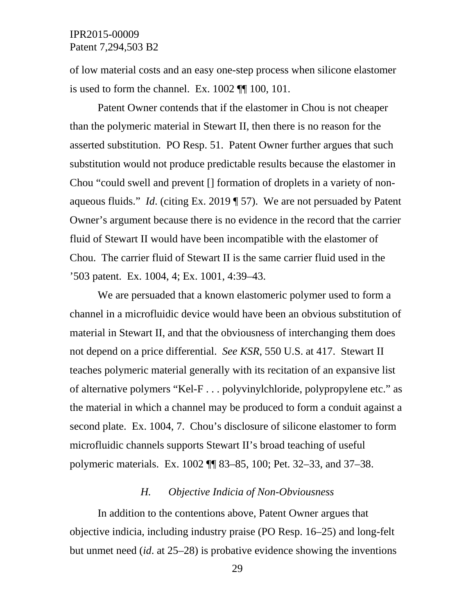of low material costs and an easy one-step process when silicone elastomer is used to form the channel. Ex. 1002 ¶¶ 100, 101.

Patent Owner contends that if the elastomer in Chou is not cheaper than the polymeric material in Stewart II, then there is no reason for the asserted substitution. PO Resp. 51. Patent Owner further argues that such substitution would not produce predictable results because the elastomer in Chou "could swell and prevent [] formation of droplets in a variety of nonaqueous fluids." *Id*. (citing Ex. 2019 ¶ 57). We are not persuaded by Patent Owner's argument because there is no evidence in the record that the carrier fluid of Stewart II would have been incompatible with the elastomer of Chou. The carrier fluid of Stewart II is the same carrier fluid used in the '503 patent. Ex. 1004, 4; Ex. 1001, 4:39–43.

We are persuaded that a known elastomeric polymer used to form a channel in a microfluidic device would have been an obvious substitution of material in Stewart II, and that the obviousness of interchanging them does not depend on a price differential. *See KSR*, 550 U.S. at 417. Stewart II teaches polymeric material generally with its recitation of an expansive list of alternative polymers "Kel-F . . . polyvinylchloride, polypropylene etc." as the material in which a channel may be produced to form a conduit against a second plate. Ex. 1004, 7. Chou's disclosure of silicone elastomer to form microfluidic channels supports Stewart II's broad teaching of useful polymeric materials. Ex. 1002 ¶¶ 83–85, 100; Pet. 32–33, and 37–38.

### *H. Objective Indicia of Non-Obviousness*

In addition to the contentions above, Patent Owner argues that objective indicia, including industry praise (PO Resp. 16–25) and long-felt but unmet need (*id*. at 25–28) is probative evidence showing the inventions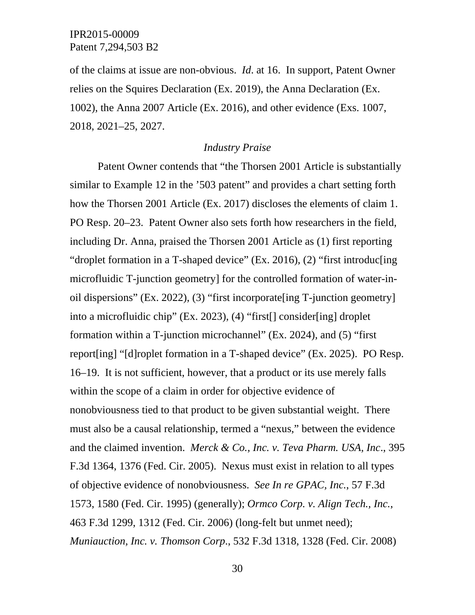of the claims at issue are non-obvious. *Id*. at 16. In support, Patent Owner relies on the Squires Declaration (Ex. 2019), the Anna Declaration (Ex. 1002), the Anna 2007 Article (Ex. 2016), and other evidence (Exs. 1007, 2018, 2021–25, 2027.

#### *Industry Praise*

Patent Owner contends that "the Thorsen 2001 Article is substantially similar to Example 12 in the '503 patent" and provides a chart setting forth how the Thorsen 2001 Article (Ex. 2017) discloses the elements of claim 1. PO Resp. 20–23. Patent Owner also sets forth how researchers in the field, including Dr. Anna, praised the Thorsen 2001 Article as (1) first reporting "droplet formation in a T-shaped device" (Ex. 2016), (2) "first introduc[ing microfluidic T-junction geometry] for the controlled formation of water-inoil dispersions" (Ex. 2022), (3) "first incorporate[ing T-junction geometry] into a microfluidic chip" (Ex. 2023), (4) "first[] consider[ing] droplet formation within a T-junction microchannel" (Ex. 2024), and (5) "first report[ing] "[d]roplet formation in a T-shaped device" (Ex. 2025). PO Resp. 16–19. It is not sufficient, however, that a product or its use merely falls within the scope of a claim in order for objective evidence of nonobviousness tied to that product to be given substantial weight. There must also be a causal relationship, termed a "nexus," between the evidence and the claimed invention. *Merck & Co., Inc. v. Teva Pharm. USA, Inc*., 395 F.3d 1364, 1376 (Fed. Cir. 2005). Nexus must exist in relation to all types of objective evidence of nonobviousness. *See In re GPAC, Inc.*, 57 F.3d 1573, 1580 (Fed. Cir. 1995) (generally); *Ormco Corp. v. Align Tech., Inc.*, 463 F.3d 1299, 1312 (Fed. Cir. 2006) (long-felt but unmet need); *Muniauction, Inc. v. Thomson Corp*., 532 F.3d 1318, 1328 (Fed. Cir. 2008)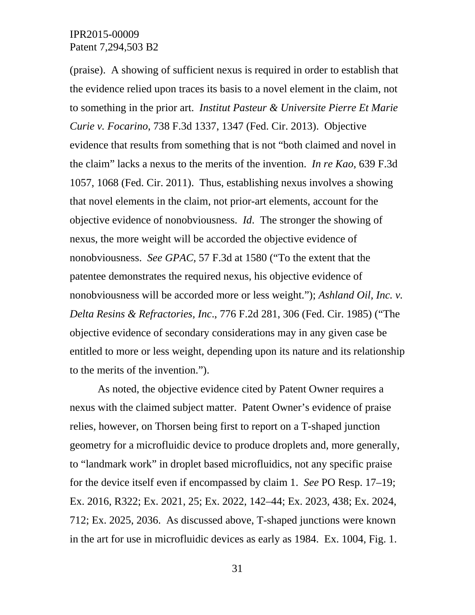(praise). A showing of sufficient nexus is required in order to establish that the evidence relied upon traces its basis to a novel element in the claim, not to something in the prior art. *Institut Pasteur & Universite Pierre Et Marie Curie v. Focarino*, 738 F.3d 1337, 1347 (Fed. Cir. 2013). Objective evidence that results from something that is not "both claimed and novel in the claim" lacks a nexus to the merits of the invention. *In re Kao*, 639 F.3d 1057, 1068 (Fed. Cir. 2011). Thus, establishing nexus involves a showing that novel elements in the claim, not prior-art elements, account for the objective evidence of nonobviousness. *Id*. The stronger the showing of nexus, the more weight will be accorded the objective evidence of nonobviousness. *See GPAC,* 57 F.3d at 1580 ("To the extent that the patentee demonstrates the required nexus, his objective evidence of nonobviousness will be accorded more or less weight."); *Ashland Oil, Inc. v. Delta Resins & Refractories, Inc*., 776 F.2d 281, 306 (Fed. Cir. 1985) ("The objective evidence of secondary considerations may in any given case be entitled to more or less weight, depending upon its nature and its relationship to the merits of the invention.").

As noted, the objective evidence cited by Patent Owner requires a nexus with the claimed subject matter. Patent Owner's evidence of praise relies, however, on Thorsen being first to report on a T-shaped junction geometry for a microfluidic device to produce droplets and, more generally, to "landmark work" in droplet based microfluidics, not any specific praise for the device itself even if encompassed by claim 1. *See* PO Resp. 17–19; Ex. 2016, R322; Ex. 2021, 25; Ex. 2022, 142–44; Ex. 2023, 438; Ex. 2024, 712; Ex. 2025, 2036. As discussed above, T-shaped junctions were known in the art for use in microfluidic devices as early as 1984. Ex. 1004, Fig. 1.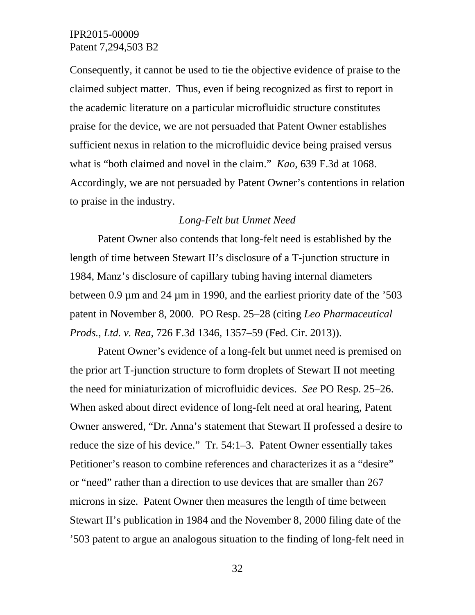Consequently, it cannot be used to tie the objective evidence of praise to the claimed subject matter. Thus, even if being recognized as first to report in the academic literature on a particular microfluidic structure constitutes praise for the device, we are not persuaded that Patent Owner establishes sufficient nexus in relation to the microfluidic device being praised versus what is "both claimed and novel in the claim." *Kao*, 639 F.3d at 1068. Accordingly, we are not persuaded by Patent Owner's contentions in relation to praise in the industry.

#### *Long-Felt but Unmet Need*

Patent Owner also contends that long-felt need is established by the length of time between Stewart II's disclosure of a T-junction structure in 1984, Manz's disclosure of capillary tubing having internal diameters between 0.9 µm and 24 µm in 1990, and the earliest priority date of the '503 patent in November 8, 2000. PO Resp. 25–28 (citing *Leo Pharmaceutical Prods., Ltd. v. Rea*, 726 F.3d 1346, 1357–59 (Fed. Cir. 2013)).

Patent Owner's evidence of a long-felt but unmet need is premised on the prior art T-junction structure to form droplets of Stewart II not meeting the need for miniaturization of microfluidic devices. *See* PO Resp. 25–26. When asked about direct evidence of long-felt need at oral hearing, Patent Owner answered, "Dr. Anna's statement that Stewart II professed a desire to reduce the size of his device." Tr. 54:1–3. Patent Owner essentially takes Petitioner's reason to combine references and characterizes it as a "desire" or "need" rather than a direction to use devices that are smaller than 267 microns in size. Patent Owner then measures the length of time between Stewart II's publication in 1984 and the November 8, 2000 filing date of the '503 patent to argue an analogous situation to the finding of long-felt need in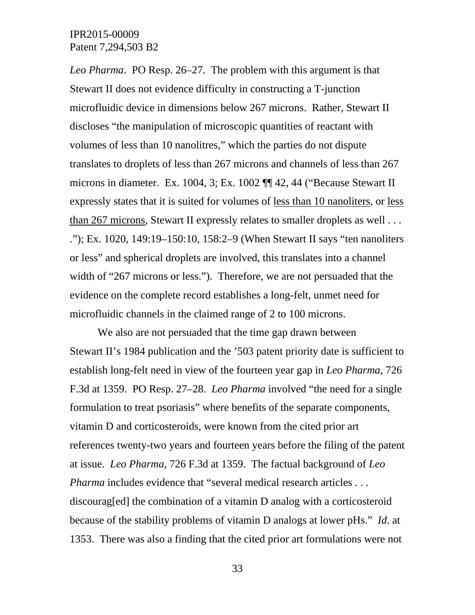*Leo Pharma*. PO Resp. 26–27. The problem with this argument is that Stewart II does not evidence difficulty in constructing a T-junction microfluidic device in dimensions below 267 microns. Rather, Stewart II discloses "the manipulation of microscopic quantities of reactant with volumes of less than 10 nanolitres," which the parties do not dispute translates to droplets of less than 267 microns and channels of less than 267 microns in diameter. Ex. 1004, 3; Ex. 1002 ¶¶ 42, 44 ("Because Stewart II expressly states that it is suited for volumes of less than 10 nanoliters, or less than 267 microns, Stewart II expressly relates to smaller droplets as well . . . ."); Ex. 1020, 149:19–150:10, 158:2–9 (When Stewart II says "ten nanoliters or less" and spherical droplets are involved, this translates into a channel width of "267 microns or less."). Therefore, we are not persuaded that the evidence on the complete record establishes a long-felt, unmet need for microfluidic channels in the claimed range of 2 to 100 microns.

We also are not persuaded that the time gap drawn between Stewart II's 1984 publication and the '503 patent priority date is sufficient to establish long-felt need in view of the fourteen year gap in *Leo Pharma*, 726 F.3d at 1359. PO Resp. 27–28. *Leo Pharma* involved "the need for a single formulation to treat psoriasis" where benefits of the separate components, vitamin D and corticosteroids, were known from the cited prior art references twenty-two years and fourteen years before the filing of the patent at issue. *Leo Pharma*, 726 F.3d at 1359. The factual background of *Leo Pharma* includes evidence that "several medical research articles . . . discourag[ed] the combination of a vitamin D analog with a corticosteroid because of the stability problems of vitamin D analogs at lower pHs." *Id*. at 1353. There was also a finding that the cited prior art formulations were not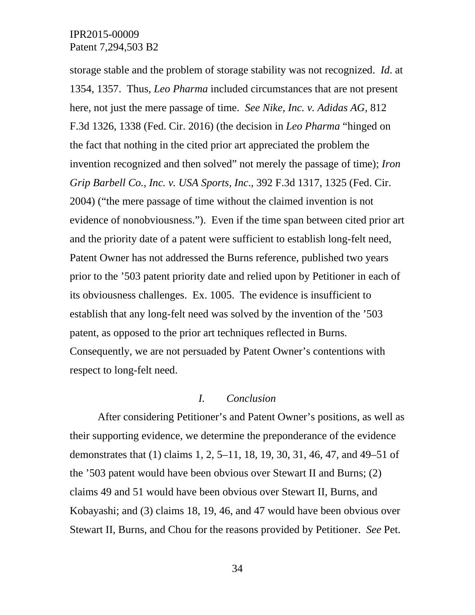storage stable and the problem of storage stability was not recognized. *Id*. at 1354, 1357. Thus, *Leo Pharma* included circumstances that are not present here, not just the mere passage of time. *See Nike, Inc. v. Adidas AG,* 812 F.3d 1326, 1338 (Fed. Cir. 2016) (the decision in *Leo Pharma* "hinged on the fact that nothing in the cited prior art appreciated the problem the invention recognized and then solved" not merely the passage of time); *Iron Grip Barbell Co., Inc. v. USA Sports, Inc*., 392 F.3d 1317, 1325 (Fed. Cir. 2004) ("the mere passage of time without the claimed invention is not evidence of nonobviousness."). Even if the time span between cited prior art and the priority date of a patent were sufficient to establish long-felt need, Patent Owner has not addressed the Burns reference, published two years prior to the '503 patent priority date and relied upon by Petitioner in each of its obviousness challenges. Ex. 1005. The evidence is insufficient to establish that any long-felt need was solved by the invention of the '503 patent, as opposed to the prior art techniques reflected in Burns. Consequently, we are not persuaded by Patent Owner's contentions with respect to long-felt need.

#### *I. Conclusion*

After considering Petitioner's and Patent Owner's positions, as well as their supporting evidence, we determine the preponderance of the evidence demonstrates that (1) claims 1, 2, 5–11, 18, 19, 30, 31, 46, 47, and 49–51 of the '503 patent would have been obvious over Stewart II and Burns; (2) claims 49 and 51 would have been obvious over Stewart II, Burns, and Kobayashi; and (3) claims 18, 19, 46, and 47 would have been obvious over Stewart II, Burns, and Chou for the reasons provided by Petitioner. *See* Pet.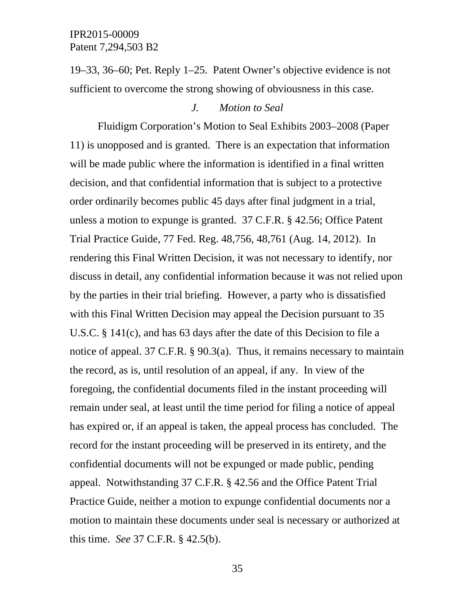19–33, 36–60; Pet. Reply 1–25. Patent Owner's objective evidence is not sufficient to overcome the strong showing of obviousness in this case.

### *J. Motion to Seal*

Fluidigm Corporation's Motion to Seal Exhibits 2003–2008 (Paper 11) is unopposed and is granted. There is an expectation that information will be made public where the information is identified in a final written decision, and that confidential information that is subject to a protective order ordinarily becomes public 45 days after final judgment in a trial, unless a motion to expunge is granted. 37 C.F.R. § 42.56; Office Patent Trial Practice Guide, 77 Fed. Reg. 48,756, 48,761 (Aug. 14, 2012). In rendering this Final Written Decision, it was not necessary to identify, nor discuss in detail, any confidential information because it was not relied upon by the parties in their trial briefing. However, a party who is dissatisfied with this Final Written Decision may appeal the Decision pursuant to 35 U.S.C. § 141(c), and has 63 days after the date of this Decision to file a notice of appeal. 37 C.F.R. § 90.3(a). Thus, it remains necessary to maintain the record, as is, until resolution of an appeal, if any. In view of the foregoing, the confidential documents filed in the instant proceeding will remain under seal, at least until the time period for filing a notice of appeal has expired or, if an appeal is taken, the appeal process has concluded. The record for the instant proceeding will be preserved in its entirety, and the confidential documents will not be expunged or made public, pending appeal. Notwithstanding 37 C.F.R. § 42.56 and the Office Patent Trial Practice Guide, neither a motion to expunge confidential documents nor a motion to maintain these documents under seal is necessary or authorized at this time. *See* 37 C.F.R. § 42.5(b).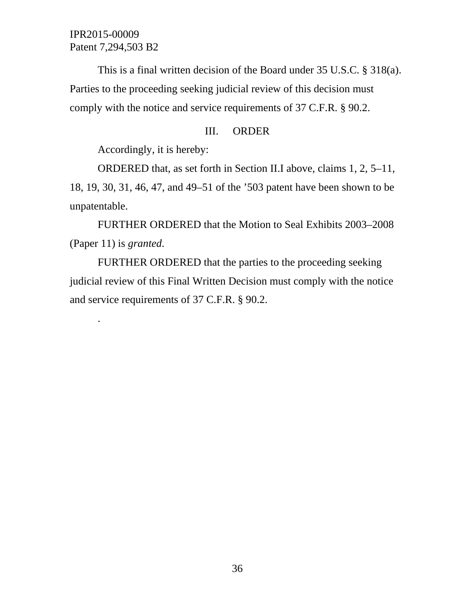.

This is a final written decision of the Board under 35 U.S.C. § 318(a). Parties to the proceeding seeking judicial review of this decision must comply with the notice and service requirements of 37 C.F.R. § 90.2.

### III. ORDER

Accordingly, it is hereby:

ORDERED that, as set forth in Section II.I above, claims 1, 2, 5–11, 18, 19, 30, 31, 46, 47, and 49–51 of the '503 patent have been shown to be unpatentable.

FURTHER ORDERED that the Motion to Seal Exhibits 2003–2008 (Paper 11) is *granted*.

FURTHER ORDERED that the parties to the proceeding seeking judicial review of this Final Written Decision must comply with the notice and service requirements of 37 C.F.R. § 90.2.